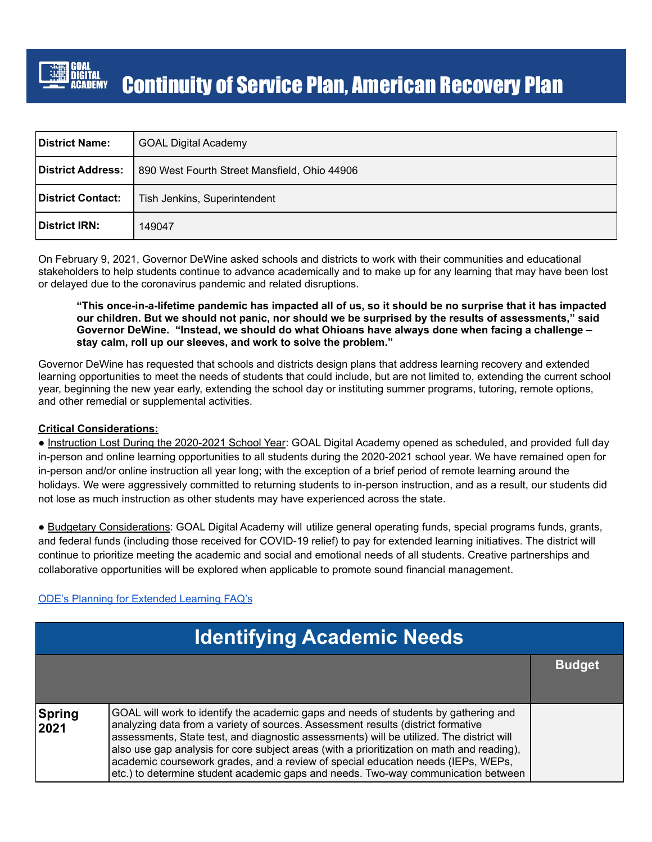

## Continuity of Service Plan, American Recovery Plan

| <b>District Name:</b> | <b>GOAL Digital Academy</b>                  |
|-----------------------|----------------------------------------------|
| District Address:     | 890 West Fourth Street Mansfield, Ohio 44906 |
| District Contact:     | Tish Jenkins, Superintendent                 |
| District IRN:         | 149047                                       |

On February 9, 2021, Governor DeWine asked schools and districts to work with their communities and educational stakeholders to help students continue to advance academically and to make up for any learning that may have been lost or delayed due to the coronavirus pandemic and related disruptions.

#### "This once-in-a-lifetime pandemic has impacted all of us, so it should be no surprise that it has impacted our children. But we should not panic, nor should we be surprised by the results of assessments," said **Governor DeWine. "Instead, we should do what Ohioans have always done when facing a challenge – stay calm, roll up our sleeves, and work to solve the problem."**

Governor DeWine has requested that schools and districts design plans that address learning recovery and extended learning opportunities to meet the needs of students that could include, but are not limited to, extending the current school year, beginning the new year early, extending the school day or instituting summer programs, tutoring, remote options, and other remedial or supplemental activities.

#### **Critical Considerations:**

● Instruction Lost During the 2020-2021 School Year: GOAL Digital Academy opened as scheduled, and provided full day in-person and online learning opportunities to all students during the 2020-2021 school year. We have remained open for in-person and/or online instruction all year long; with the exception of a brief period of remote learning around the holidays. We were aggressively committed to returning students to in-person instruction, and as a result, our students did not lose as much instruction as other students may have experienced across the state.

● Budgetary Considerations: GOAL Digital Academy will utilize general operating funds, special programs funds, grants, and federal funds (including those received for COVID-19 relief) to pay for extended learning initiatives. The district will continue to prioritize meeting the academic and social and emotional needs of all students. Creative partnerships and collaborative opportunities will be explored when applicable to promote sound financial management.

#### ODE's Planning for [Extended](http://education.ohio.gov/Topics/Reset-and-Restart/Planning-for-Extended-Learning) Learning FAQ's

| <b>Identifying Academic Needs</b> |                                                                                                                                                                                                                                                                                                                                                                                                                                                                                                                                           |               |
|-----------------------------------|-------------------------------------------------------------------------------------------------------------------------------------------------------------------------------------------------------------------------------------------------------------------------------------------------------------------------------------------------------------------------------------------------------------------------------------------------------------------------------------------------------------------------------------------|---------------|
|                                   |                                                                                                                                                                                                                                                                                                                                                                                                                                                                                                                                           | <b>Budget</b> |
| Spring<br>2021                    | GOAL will work to identify the academic gaps and needs of students by gathering and<br>analyzing data from a variety of sources. Assessment results (district formative<br>assessments, State test, and diagnostic assessments) will be utilized. The district will<br>also use gap analysis for core subject areas (with a prioritization on math and reading),<br>academic coursework grades, and a review of special education needs (IEPs, WEPs,<br>etc.) to determine student academic gaps and needs. Two-way communication between |               |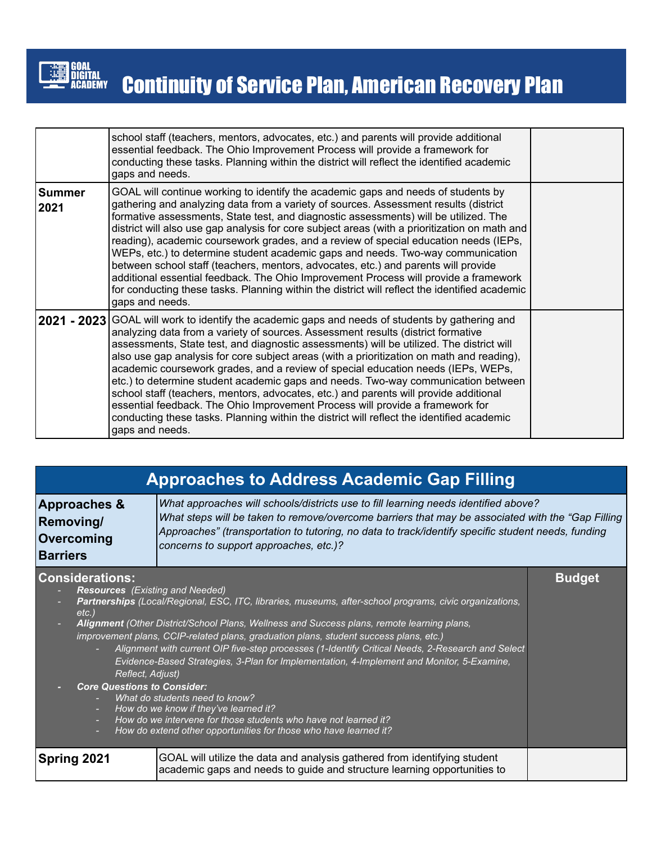

|                       | school staff (teachers, mentors, advocates, etc.) and parents will provide additional<br>essential feedback. The Ohio Improvement Process will provide a framework for<br>conducting these tasks. Planning within the district will reflect the identified academic<br>gaps and needs.                                                                                                                                                                                                                                                                                                                                                                                                                                                                                                                                                          |  |
|-----------------------|-------------------------------------------------------------------------------------------------------------------------------------------------------------------------------------------------------------------------------------------------------------------------------------------------------------------------------------------------------------------------------------------------------------------------------------------------------------------------------------------------------------------------------------------------------------------------------------------------------------------------------------------------------------------------------------------------------------------------------------------------------------------------------------------------------------------------------------------------|--|
| <b>Summer</b><br>2021 | GOAL will continue working to identify the academic gaps and needs of students by<br>gathering and analyzing data from a variety of sources. Assessment results (district<br>formative assessments, State test, and diagnostic assessments) will be utilized. The<br>district will also use gap analysis for core subject areas (with a prioritization on math and<br>reading), academic coursework grades, and a review of special education needs (IEPs,<br>WEPs, etc.) to determine student academic gaps and needs. Two-way communication<br>between school staff (teachers, mentors, advocates, etc.) and parents will provide<br>additional essential feedback. The Ohio Improvement Process will provide a framework<br>for conducting these tasks. Planning within the district will reflect the identified academic<br>gaps and needs. |  |
|                       | 2021 - 2023 GOAL will work to identify the academic gaps and needs of students by gathering and<br>analyzing data from a variety of sources. Assessment results (district formative<br>assessments, State test, and diagnostic assessments) will be utilized. The district will<br>also use gap analysis for core subject areas (with a prioritization on math and reading),<br>academic coursework grades, and a review of special education needs (IEPs, WEPs,<br>etc.) to determine student academic gaps and needs. Two-way communication between<br>school staff (teachers, mentors, advocates, etc.) and parents will provide additional<br>essential feedback. The Ohio Improvement Process will provide a framework for<br>conducting these tasks. Planning within the district will reflect the identified academic<br>gaps and needs. |  |

### **Approaches to Address Academic Gap Filling**

| <b>Approaches &amp;</b> | What approaches will schools/districts use to fill learning needs identified above?                                                          |  |  |
|-------------------------|----------------------------------------------------------------------------------------------------------------------------------------------|--|--|
| <b>Removing/</b>        | What steps will be taken to remove/overcome barriers that may be associated with the "Gap Filling"                                           |  |  |
| <b>Overcoming</b>       | Approaches" (transportation to tutoring, no data to track/identify specific student needs, funding<br>concerns to support approaches, etc.)? |  |  |
| <b>Barriers</b>         |                                                                                                                                              |  |  |

**Budget**

| <b>Considerations:</b> |
|------------------------|
|------------------------|

- *- Resources (Existing and Needed)*
	- *- Partnerships (Local/Regional, ESC, ITC, libraries, museums, after-school programs, civic organizations, etc.) - Alignment (Other District/School Plans, Wellness and Success plans, remote learning plans,*
		- *improvement plans, CCIP-related plans, graduation plans, student success plans, etc.)*
			- *- Alignment with current OIP five-step processes (1-Identify Critical Needs, 2-Research and Select Evidence-Based Strategies, 3-Plan for Implementation, 4-Implement and Monitor, 5-Examine, Reflect, Adjust)*
- *- Core Questions to Consider:*
	- *- What do students need to know?*
	- *- How do we know if they've learned it?*
	- *- How do we intervene for those students who have not learned it?*
	- *- How do extend other opportunities for those who have learned it?*

**Spring 2021** GOAL will utilize the data and analysis gathered from identifying student academic gaps and needs to guide and structure learning opportunities to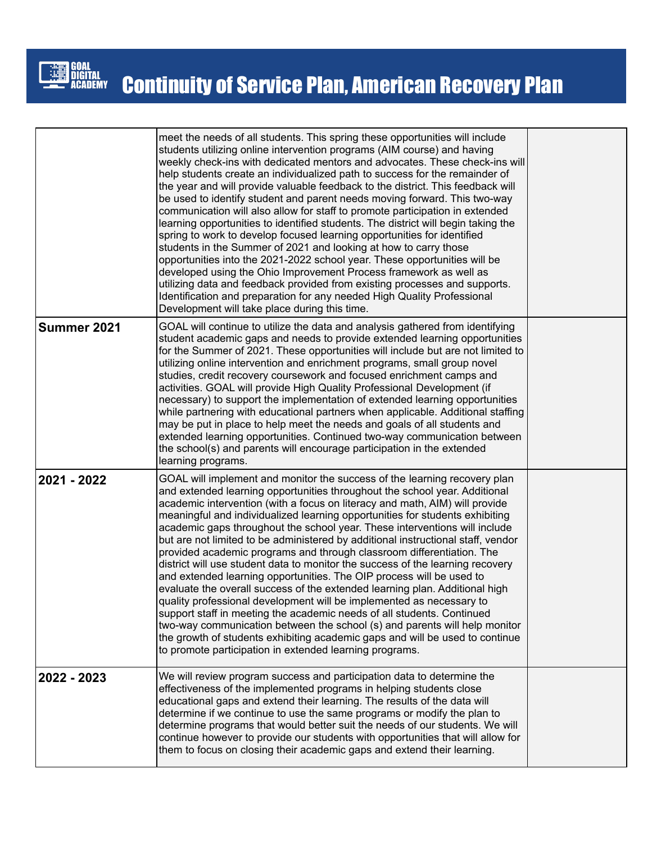

|             | meet the needs of all students. This spring these opportunities will include<br>students utilizing online intervention programs (AIM course) and having<br>weekly check-ins with dedicated mentors and advocates. These check-ins will<br>help students create an individualized path to success for the remainder of<br>the year and will provide valuable feedback to the district. This feedback will<br>be used to identify student and parent needs moving forward. This two-way<br>communication will also allow for staff to promote participation in extended<br>learning opportunities to identified students. The district will begin taking the<br>spring to work to develop focused learning opportunities for identified<br>students in the Summer of 2021 and looking at how to carry those<br>opportunities into the 2021-2022 school year. These opportunities will be<br>developed using the Ohio Improvement Process framework as well as<br>utilizing data and feedback provided from existing processes and supports.<br>Identification and preparation for any needed High Quality Professional<br>Development will take place during this time.                 |  |
|-------------|---------------------------------------------------------------------------------------------------------------------------------------------------------------------------------------------------------------------------------------------------------------------------------------------------------------------------------------------------------------------------------------------------------------------------------------------------------------------------------------------------------------------------------------------------------------------------------------------------------------------------------------------------------------------------------------------------------------------------------------------------------------------------------------------------------------------------------------------------------------------------------------------------------------------------------------------------------------------------------------------------------------------------------------------------------------------------------------------------------------------------------------------------------------------------------------|--|
| Summer 2021 | GOAL will continue to utilize the data and analysis gathered from identifying<br>student academic gaps and needs to provide extended learning opportunities<br>for the Summer of 2021. These opportunities will include but are not limited to<br>utilizing online intervention and enrichment programs, small group novel<br>studies, credit recovery coursework and focused enrichment camps and<br>activities. GOAL will provide High Quality Professional Development (if<br>necessary) to support the implementation of extended learning opportunities<br>while partnering with educational partners when applicable. Additional staffing<br>may be put in place to help meet the needs and goals of all students and<br>extended learning opportunities. Continued two-way communication between<br>the school(s) and parents will encourage participation in the extended<br>learning programs.                                                                                                                                                                                                                                                                               |  |
| 2021 - 2022 | GOAL will implement and monitor the success of the learning recovery plan<br>and extended learning opportunities throughout the school year. Additional<br>academic intervention (with a focus on literacy and math, AIM) will provide<br>meaningful and individualized learning opportunities for students exhibiting<br>academic gaps throughout the school year. These interventions will include<br>but are not limited to be administered by additional instructional staff, vendor<br>provided academic programs and through classroom differentiation. The<br>district will use student data to monitor the success of the learning recovery<br>and extended learning opportunities. The OIP process will be used to<br>evaluate the overall success of the extended learning plan. Additional high<br>quality professional development will be implemented as necessary to<br>support staff in meeting the academic needs of all students. Continued<br>two-way communication between the school (s) and parents will help monitor<br>the growth of students exhibiting academic gaps and will be used to continue<br>to promote participation in extended learning programs. |  |
| 2022 - 2023 | We will review program success and participation data to determine the<br>effectiveness of the implemented programs in helping students close<br>educational gaps and extend their learning. The results of the data will<br>determine if we continue to use the same programs or modify the plan to<br>determine programs that would better suit the needs of our students. We will<br>continue however to provide our students with opportunities that will allow for<br>them to focus on closing their academic gaps and extend their learning.                                                                                                                                                                                                                                                                                                                                                                                                                                                                                                                                                                                                                                    |  |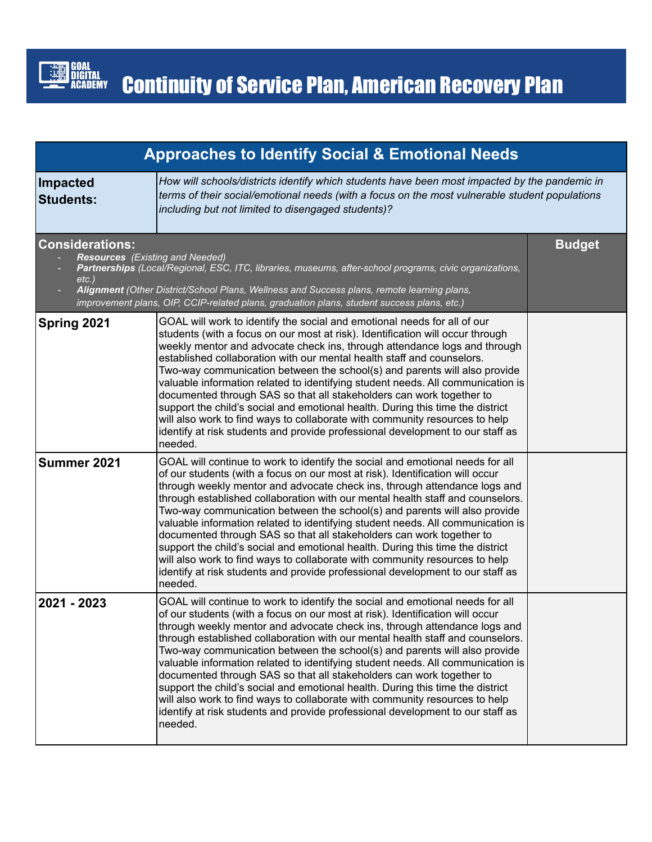

| <b>Approaches to Identify Social &amp; Emotional Needs</b> |                                                                                                                                                                                                                                                                                                                                                                                                                                                                                                                                                                                                                                                                                                                                                                                                                                     |               |
|------------------------------------------------------------|-------------------------------------------------------------------------------------------------------------------------------------------------------------------------------------------------------------------------------------------------------------------------------------------------------------------------------------------------------------------------------------------------------------------------------------------------------------------------------------------------------------------------------------------------------------------------------------------------------------------------------------------------------------------------------------------------------------------------------------------------------------------------------------------------------------------------------------|---------------|
| <b>Impacted</b><br><b>Students:</b>                        | How will schools/districts identify which students have been most impacted by the pandemic in<br>terms of their social/emotional needs (with a focus on the most vulnerable student populations<br>including but not limited to disengaged students)?                                                                                                                                                                                                                                                                                                                                                                                                                                                                                                                                                                               |               |
| <b>Considerations:</b><br>$etc.$ )                         | <b>Resources</b> (Existing and Needed)<br>Partnerships (Local/Regional, ESC, ITC, libraries, museums, after-school programs, civic organizations,<br>Alignment (Other District/School Plans, Wellness and Success plans, remote learning plans,<br>improvement plans, OIP, CCIP-related plans, graduation plans, student success plans, etc.)                                                                                                                                                                                                                                                                                                                                                                                                                                                                                       | <b>Budget</b> |
| Spring 2021                                                | GOAL will work to identify the social and emotional needs for all of our<br>students (with a focus on our most at risk). Identification will occur through<br>weekly mentor and advocate check ins, through attendance logs and through<br>established collaboration with our mental health staff and counselors.<br>Two-way communication between the school(s) and parents will also provide<br>valuable information related to identifying student needs. All communication is<br>documented through SAS so that all stakeholders can work together to<br>support the child's social and emotional health. During this time the district<br>will also work to find ways to collaborate with community resources to help<br>identify at risk students and provide professional development to our staff as<br>needed.             |               |
| Summer 2021                                                | GOAL will continue to work to identify the social and emotional needs for all<br>of our students (with a focus on our most at risk). Identification will occur<br>through weekly mentor and advocate check ins, through attendance logs and<br>through established collaboration with our mental health staff and counselors.<br>Two-way communication between the school(s) and parents will also provide<br>valuable information related to identifying student needs. All communication is<br>documented through SAS so that all stakeholders can work together to<br>support the child's social and emotional health. During this time the district<br>will also work to find ways to collaborate with community resources to help<br>identify at risk students and provide professional development to our staff as<br>needed. |               |
| 2021 - 2023                                                | GOAL will continue to work to identify the social and emotional needs for all<br>of our students (with a focus on our most at risk). Identification will occur<br>through weekly mentor and advocate check ins, through attendance logs and<br>through established collaboration with our mental health staff and counselors.<br>Two-way communication between the school(s) and parents will also provide<br>valuable information related to identifying student needs. All communication is<br>documented through SAS so that all stakeholders can work together to<br>support the child's social and emotional health. During this time the district<br>will also work to find ways to collaborate with community resources to help<br>identify at risk students and provide professional development to our staff as<br>needed. |               |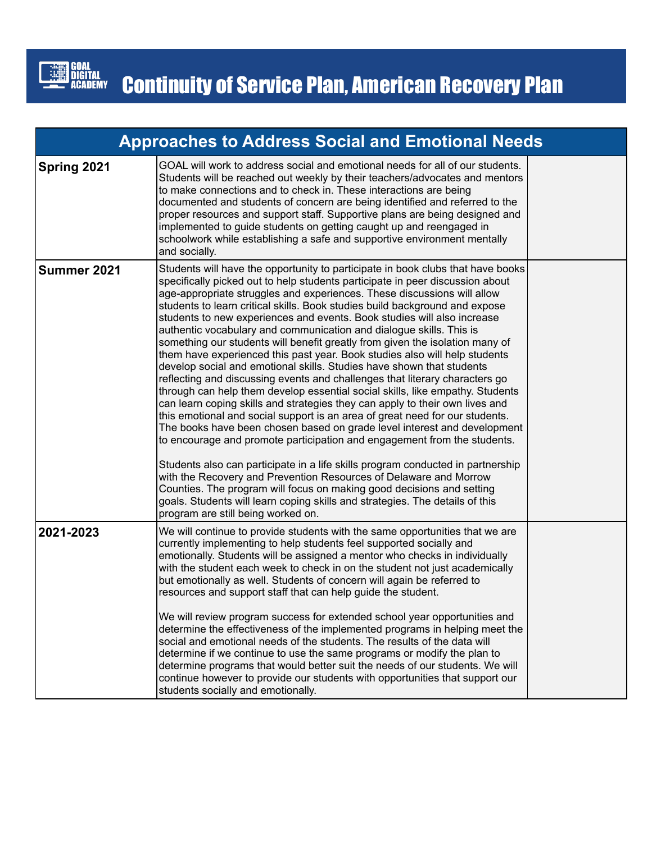

| <b>Approaches to Address Social and Emotional Needs</b> |                                                                                                                                                                                                                                                                                                                                                                                                                                                                                                                                                                                                                                                                                                                                                                                                                                                                                                                                                                                                                                                                                                                                                                                                                                                                                                                                                                                                                                                                                                                                                                    |  |
|---------------------------------------------------------|--------------------------------------------------------------------------------------------------------------------------------------------------------------------------------------------------------------------------------------------------------------------------------------------------------------------------------------------------------------------------------------------------------------------------------------------------------------------------------------------------------------------------------------------------------------------------------------------------------------------------------------------------------------------------------------------------------------------------------------------------------------------------------------------------------------------------------------------------------------------------------------------------------------------------------------------------------------------------------------------------------------------------------------------------------------------------------------------------------------------------------------------------------------------------------------------------------------------------------------------------------------------------------------------------------------------------------------------------------------------------------------------------------------------------------------------------------------------------------------------------------------------------------------------------------------------|--|
| Spring 2021                                             | GOAL will work to address social and emotional needs for all of our students.<br>Students will be reached out weekly by their teachers/advocates and mentors<br>to make connections and to check in. These interactions are being<br>documented and students of concern are being identified and referred to the<br>proper resources and support staff. Supportive plans are being designed and<br>implemented to guide students on getting caught up and reengaged in<br>schoolwork while establishing a safe and supportive environment mentally<br>and socially.                                                                                                                                                                                                                                                                                                                                                                                                                                                                                                                                                                                                                                                                                                                                                                                                                                                                                                                                                                                                |  |
| Summer 2021                                             | Students will have the opportunity to participate in book clubs that have books<br>specifically picked out to help students participate in peer discussion about<br>age-appropriate struggles and experiences. These discussions will allow<br>students to learn critical skills. Book studies build background and expose<br>students to new experiences and events. Book studies will also increase<br>authentic vocabulary and communication and dialogue skills. This is<br>something our students will benefit greatly from given the isolation many of<br>them have experienced this past year. Book studies also will help students<br>develop social and emotional skills. Studies have shown that students<br>reflecting and discussing events and challenges that literary characters go<br>through can help them develop essential social skills, like empathy. Students<br>can learn coping skills and strategies they can apply to their own lives and<br>this emotional and social support is an area of great need for our students.<br>The books have been chosen based on grade level interest and development<br>to encourage and promote participation and engagement from the students.<br>Students also can participate in a life skills program conducted in partnership<br>with the Recovery and Prevention Resources of Delaware and Morrow<br>Counties. The program will focus on making good decisions and setting<br>goals. Students will learn coping skills and strategies. The details of this<br>program are still being worked on. |  |
| 2021-2023                                               | We will continue to provide students with the same opportunities that we are<br>currently implementing to help students feel supported socially and<br>emotionally. Students will be assigned a mentor who checks in individually<br>with the student each week to check in on the student not just academically<br>but emotionally as well. Students of concern will again be referred to<br>resources and support staff that can help guide the student.<br>We will review program success for extended school year opportunities and<br>determine the effectiveness of the implemented programs in helping meet the<br>social and emotional needs of the students. The results of the data will<br>determine if we continue to use the same programs or modify the plan to<br>determine programs that would better suit the needs of our students. We will<br>continue however to provide our students with opportunities that support our<br>students socially and emotionally.                                                                                                                                                                                                                                                                                                                                                                                                                                                                                                                                                                                |  |